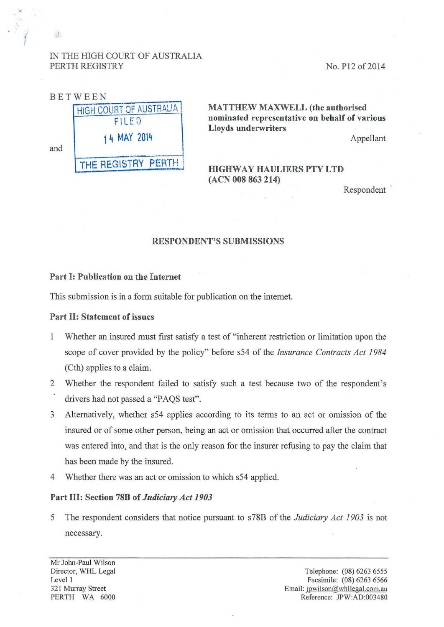# IN THE HIGH COURT OF AUSTRALIA PERTH REGISTRY

•.

*i* 

 $|0\rangle$ 

No. P12 of 2014



MATTHEW MAXWELL (the authorised nominated representative on behalf of various Lloyds underwriters

Appellant

# HIGHWAY HAULIERS PTY LTD (ACN 008 863 214)

**Respondent** 

### RESPONDENT'S SUBMISSIONS

### Part I: Publication on the Internet

This submission is in a form suitable for publication on the internet.

#### Part II: Statement of issues

- 1 Whether an insured must first satisfy a test of "inherent restriction or limitation upon the scope of cover provided by the policy" before s54 of the *Insurance Contracts Act 1984*  (Cth) applies to a claim.
- 2 Whether the respondent failed to satisfy such a test because two of the respondent's drivers had not passed a "PAQS test".
- 3 Alternatively, whether s54 applies according to its terms to an act or omission of the insured or of some other person, being an act or omission that occurred after the contract was entered into, and that is the only reason for the insurer refusing to pay the claim that has been made by the insured.
- 4 Whether there was an act or omission to which s54 applied.

# Part III: Section 78B of *Judiciary Act 1903*

5 The respondent considers that notice pursuant to s78B of the *Judiciary Act 1903* is not necessary.

Mr John-Paul Wilson Director, WHL Legal Level 1 321 Murray Street PERTH WA 6000

Telephone: (08) 6263 6555 Facsimile: (08) 6263 6566 Email: jpwilson@whllegal.com.au Reference: JPW:AD:003480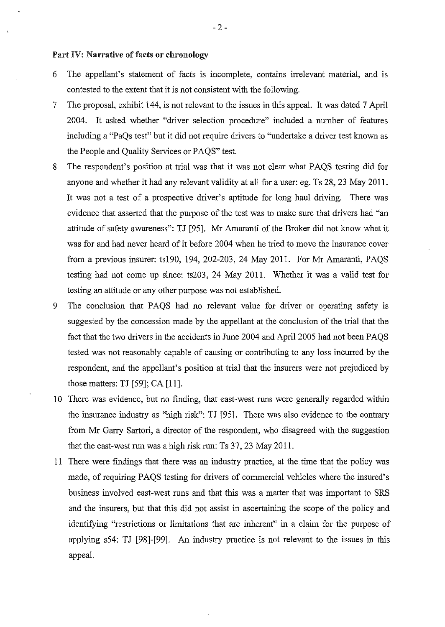### Part IV: Narrative of facts or chronology

- 6 The appellant's statement of facts is incomplete, contains irrelevant material, and is contested to the extent that it is not consistent with the following.
- 7 The proposal, exhibit 144, is not relevant to the issues in this appeal. It was dated 7 April 2004. It asked whether "driver selection procedure" included a number of features including a "PaQs test" but it did not require drivers to "undertake a driver test known as the People and Quality Services or PAQS" test.
- 8 The respondent's position at trial was that it was not clear what PAQS testing did for anyone and whether it had any relevant validity at all for a user: eg. Ts 28, 23 May 2011. It was not a test of a prospective driver's aptitude for long haul driving. There was evidence that asserted that the purpose of the test was to make sure that drivers had "an attitude of safety awareness": TJ [95]. Mr Amaranti of the Broker did not know what it was for and had never heard of it before 2004 when he tried to move the insurance cover from a previous insurer: ts190, 194,202-203, 24 May 2011. For Mr Amaranti, PAQS testing had not come up since: ts203, 24 May 2011. Whether it was a valid test for testing an attitude or any other purpose was not established.
- 9 The conclusion that PAQS had no relevant value for driver or operating safety is suggested by the concession made by the appellant at the conclusion of the trial that the fact that the two drivers in the accidents in June 2004 and April 2005 had not been PAQS tested was not reasonably capable of causing or contributing to any loss incurred by the respondent, and the appellant's position at trial that the insurers were not prejudiced by those matters: TJ [59]; CA [11].
- 10 There was evidence, but no finding, that east-west runs were generally regarded within the insurance industry as "high risk": TJ [95]. There was also evidence to the contrary from Mr Garry Sartori, a director of the respondent, who disagreed with the suggestion that the east-west run was a high risk run: Ts 37, 23 May 2011.
- 11 There were findings that there was an industry practice, at the time that the policy was made, of requiring PAQS testing for drivers of commercial vehicles where the insured's business involved east-west runs and that this was a matter that was important to SRS and the insurers, but that this did not assist in ascertaining the scope of the policy and identifying "restrictions or limitations that are inherent" in a claim for the purpose of applying s54: TJ [98]-[99]. An industry practice is not relevant to the issues in this appeal.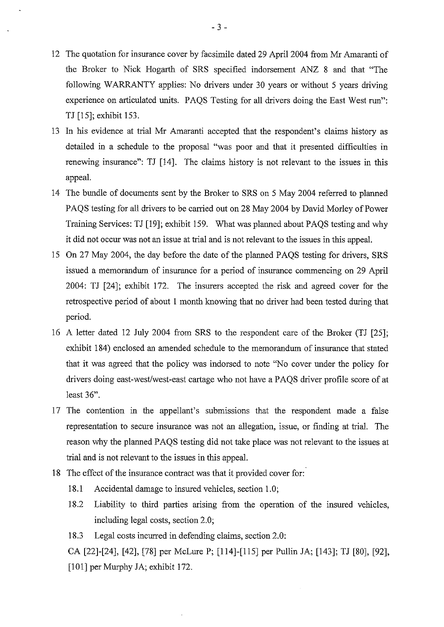- 12 The quotation for insurance cover by facsimile dated 29 April 2004 from Mr Amaranti of the Broker to Nick Hogarth of SRS specified indorsement ANZ 8 and that "The following WARRANTY applies: No drivers under 30 years or without 5 years driving experience on articulated units. PAQS Testing for all drivers doing the East West run": TJ [15]; exhibit 153.
- 13 In his evidence at trial Mr Amaranti accepted that the respondent's claims history as detailed in a schedule to the proposal "was poor and that it presented difficulties in renewing insurance": TJ [14]. The claims history is not relevant to the issues in this appeal.
- 14 The bundle of documents sent by the Broker to SRS on 5 May 2004 referred to planned PAQS testing for all drivers to be carried out on 28 May 2004 by David Morley of Power Training Services: TJ [19]; exhibit 159. What was planned about PAQS testing and why it did not occur was not an issue at trial and is not relevant to the issues in this appeal.
- 15 On 27 May 2004, the day before the date of the planned PAQS testing for drivers, SRS issued a memorandum of insurance for a period of insurance commencing on 29 April 2004: TJ [24]; exhibit 172. The insurers accepted the risk and agreed cover for the retrospective period of about 1 month knowing that no driver had been tested during that period.
- 16 A letter dated 12 July 2004 from SRS to the respondent care of the Broker (TJ [25]; exhibit 184) enclosed an amended schedule to the memorandum of insurance that stated that it was agreed that the policy was indorsed to note "No cover under the policy for drivers doing east-west/west-east cartage who not have a PAQS driver profile score of at least 36".
- 17 The contention in the appellant's submissions that the respondent made a false representation to secure insurance was not an allegation, issue, or finding at trial. The reason why the planned PAQS testing did not take place was not relevant to the issues at trial and is not relevant to the issues in this appeal.
- 18 The effect of the insurance contract was that it provided cover for:
	- 18.1 Accidental damage to insured vehicles, section 1.0;
	- 18.2 Liability to third parties arising from the operation of the insured vehicles, including legal costs, section 2.0;
	- 18.3 Legal costs incurred in defending claims, section 2.0:

CA [22]-[24], [42], [78] per McLure P; [114]-[115] per Pullin JA; [143]; TJ [80], [92], [101] per Murphy JA; exhibit 172.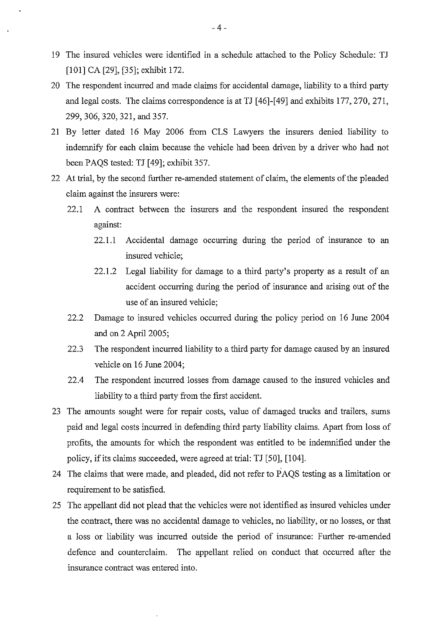- 19 The insured vehicles were identified in a schedule attached to the Policy Schedule: TJ [101] CA [29], [35]; exhibit 172.
- 20 The respondent incurred and made claims for accidental damage, liability to a third party and legal costs. The claims correspondence is at TJ [46]-[49] and exhibits 177,270, 271, 299, 306,320, 321, and 357.
- 21 By letter dated 16 May 2006 from CLS Lawyers the insurers denied liability to indemnify for each claim because the vehicle had been driven by a driver who had not been PAQS tested: TJ [ 49]; exhibit 357.
- 22 At trial, by the second further re-amended statement of claim, the elements of the pleaded claim against the insurers were:
	- 22.1 A contract between the insurers and the respondent insured the respondent against:
		- $22.1.1$  Accidental damage occurring during the period of insurance to an insured vehicle;
		- 22.1.2 Legal liability for damage to a third party's property as a result of an accident occurring during the period of insurance and arising out of the use of an insured vehicle;
	- 22.2 Damage to insured vehicles occurred during the policy period on 16 June 2004 and on 2 April 2005;
	- 22.3 The respondent incurred liability to a third party for damage caused by an insured vehicle on 16 June 2004;
	- 22.4 The respondent incurred losses from damage caused to the insured vehicles and liability to a third party from the first accident.
- 23 The amounts sought were for repair costs, value of damaged trucks and trailers, sums paid and legal costs incurred in defending third party liability claims. Apart from loss of profits, the amounts for which the respondent was entitled to be indemnified under the policy, if its claims succeeded, were agreed at trial: TJ [50], [104].
- 24 The claims that were made, and pleaded, did not refer to PAQS testing as a limitation or requirement to be satisfied.
- 25 The appellant did not plead that the vehicles were not identified as insured vehicles under the contract, there was no accidental damage to vehicles, no liability, or no losses, or that a loss or liability was incurred outside the period of insurance: Further re-amended defence and counterclaim. The appellant relied on conduct that occurred after the insurance contract was entered into.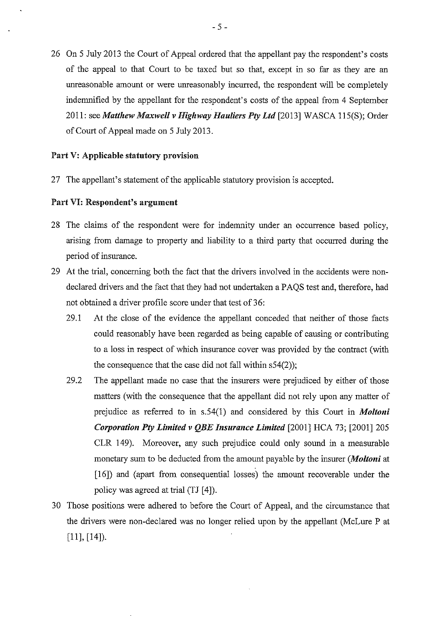26 On 5 July 2013 the Court of Appeal ordered that the appellant pay the respondent's costs of the appeal to that Court to be taxed but so that, except in so far as they are an unreasonable amount or were unreasonably incurred, the respondent will be completely indemnified by the appellant for the respondent's costs of the appeal from 4 September 2011: see *Matthew Maxwell v Highway Hauliers Pty Ltd* [2013] WASCA 115(S); Order of Court of Appeal made on 5 July 2013.

### Part V: Applicable statutory provision

27 The appellant's statement of the applicable statutory provision is accepted.

## Part VI: Respondent's argument

- 28 The claims of the respondent were for indemnity under an occurrence based policy, arising from damage to property and liability to a third party that occurred during the period of insurance.
- 29 At the trial, concerning both the fact that the drivers involved in the accidents were nondeclared drivers and the fact that they had not undertaken a PAQS test and, therefore, had not obtained a driver profile score under that test of 36:
	- 29.1 At the close of the evidence the appellant conceded that neither of those facts could reasonably have been regarded as being capable of causing or contributing to a loss in respect of which insurance cover was provided by the contract (with the consequence that the case did not fall within s54(2));
	- 29.2 The appellant made no case that the insurers were prejudiced by either of those matters (with the consequence that the appellant did not rely upon any matter of prejudice as referred to in s.54(1) and considered by this Court in *Moltoni Corporation Pty Limited v QBE Insurance Limited* [2001] HCA 73; [2001] 205 CLR 149). Moreover, any such prejudice could only sound in a measurable monetary sum to be deducted from the amount payable by the insurer *(Moltoni* at [ 16]) and (apart from consequential losses) the amount recoverable under the policy was agreed at trial (TJ [4]).
- 30 Those positions were adhered to before the Court of Appeal, and the circumstance that the drivers were non-declared was no longer relied upon by the appellant (McLure P at [11], [14]).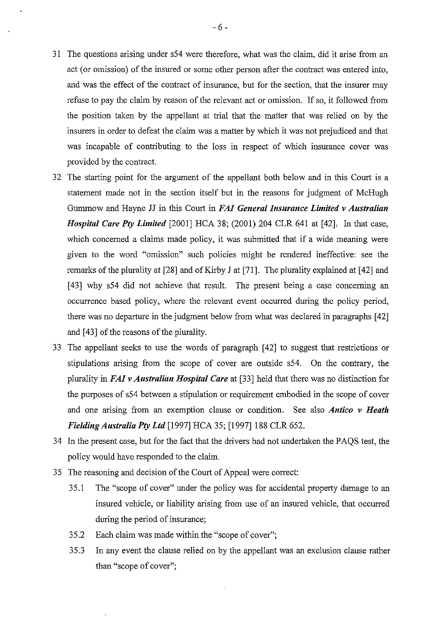- 31 The questions arising under s54 were therefore, what was the claim, did it arise from an act (or omission) of the insured or some other person after the contract was entered into, and was the effect of the contract of insurance, but for the section, that the insurer may refuse to pay the claim by reason of the relevant act or omission. If so, it followed from the position taken by the appellant at trial that the matter that was relied on by the insurers in order to defeat the claim was a matter by which it was not prejudiced and that was incapable of contributing to the loss in respect of which insurance cover was provided by the contract.
- 32 The starting point for the argument of the appellant both below and in this Court is a statement made not in the section itself but in the reasons for judgment of McHugh Gurmnow and Hayne JJ in this Court in *F AI General Insurance Limited v Australian Hospital Care Pty Limited* [2001] HCA 38; (2001) 204 CLR 641 at [42]. In that case, which concerned a claims made policy, it was submitted that if a wide meaning were given to the word "omission" such policies might be rendered ineffective: see the remarks of the plurality at [28] and of Kirby J at [71]. The plurality explained at [42] and [43] why s54 did not achieve that result. The present being a case concerning an occurrence based policy, where the relevant event occurred during the policy period, there was no departure in the judgment below from what was declared in paragraphs [ 42] and [43] of the reasons of the plurality.
- 33 The appellant seeks to use the words of paragraph [ 42] to suggest that restrictions or stipulations arising from the scope of cover are outside s54. On the contrary, the plurality in *FAI v Australian Hospital Care* at [33] held that there was no distinction for the purposes of s54 between a stipulation or requirement embodied in the scope of cover and one arising from an exemption clause or condition. See also *Antico v Heath Fielding Australia Pty Ltd* [1997] HCA 35; [1997] 188 CLR 652.
- 34 In the present case, but for the fact that the drivers had not undertaken the PAQS test, the policy would have responded to the claim.
- 35 The reasoning and decision of the Court of Appeal were correct:
	- 35.1 The "scope of cover" under the policy was for accidental property damage to an insured vehicle, or liability arising from use of an insured vehicle, that occurred during the period of insurance;
	- 35.2 Each claim was made within the "scope of cover";
	- 35.3 In any event the clause relied on by the appellant was an exclusion clause rather than "scope of cover";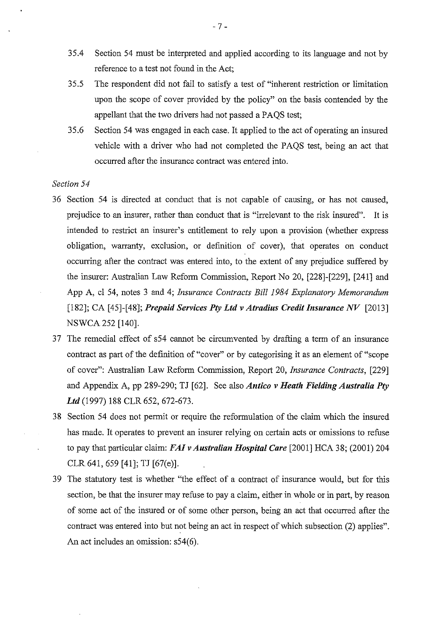- 3 5.4 Section 54 must be interpreted and applied according to its language and not by reference to a test not found in the Act;
- 35.5 The respondent did not fail to satisfy a test of "inherent restriction or limitation upon the scope of cover provided by the policy" on the basis contended by the appellant that the two drivers had not passed a PAQS test;
- 35.6 Section 54 was engaged in each case. It applied to the act of operating an insured vehicle with a driver who had not completed the PAQS test, being an act that occurred after the insurance contract was entered into.

#### *Section 54*

- 36 Section 54 is directed at conduct that is not capable of causing, or has not caused, prejudice to an insurer, rather than conduct that is "irrelevant to the risk insured". It is intended to restrict an insurer's entitlement to rely upon a provision (whether express obligation, warranty, exclusion, or definition of cover), that operates on conduct occurring after the contract was entered into, to the extent of any prejudice suffered by the insurer: Australian Law Reform Commission, Report No 20, [228]-[229], [241] and App A, cl 54, notes 3 and 4; *Insurance Contracts Bill 1984 Explanatory Memorandum*  [182]; CA [45]-[48]; *Prepaid Services Pty Ltd v Atradius Credit Insurance NV* [2013] NSWCA252 [140].
- 37 The remedial effect of s54 cannot be circumvented by drafting a term of an insurance contract as part of the definition of "cover" or by categorising it as an element of "scope of cover": Australian Law Reform Commission, Report 20, *Insurance Contracts,* [229] and Appendix A, pp 289-290; TJ [62]. See also *Antico v Heath Fielding Australia Pty Ltd* (1997) 188 CLR 652, 672-673.
- 38 Section 54 does not permit or require the reformulation of the claim which the insured has made. It operates to prevent an insurer relying on certain acts or omissions to refuse to pay that particular claim: *FA/ vAustralian Hospital Care* [2001] HCA 38; (2001) 204 CLR 641, 659 [41]; TJ [67(e)].
- 39 The statutory test is whether "the effect of a contract of insurance would, but for this section, be that the insurer may refuse to pay a claim, either in whole or in part, by reason of some act of the insured or of some other person, being an act that occurred after the contract was entered into but not being an act in respect of which subsection (2) applies". An act includes an omission: s54(6).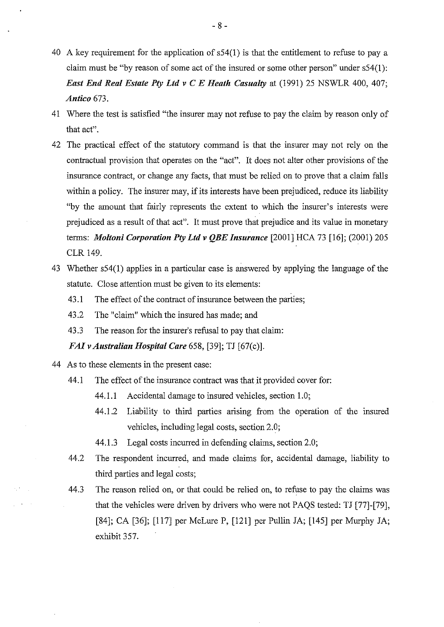- 40 A key requirement for the application of s54(1) is that the entitlement to refuse to pay a claim must be "by reason of some act of the insured or some other person" under s54(!): *East End Real Estate Pty Ltd v C E Heath Casualty at (1991) 25 NSWLR 400, 407; Antico* 673.
- 41 Where the test is satisfied "the insurer may not refuse to pay the claim by reason only of that act".
- 42 The practical effect of the statutory command is that the insurer may not rely on the contractual provision that operates on the "act". It does not alter other provisions of the insurance contract, or change any facts, that must be relied on to prove that a claim falls within a policy. The insurer may, if its interests have been prejudiced, reduce its liability "by the amount that fairly represents the extent to which the insurer's interests were prejudiced as a result of that act". It must prove that prejudice and its value in monetary terms: *Moltoni Corporation Pty Ltd v QBE Insurance* [2001] HCA 73 [16]; (2001) 205 CLR 149.
- 4 3 Whether s54(1) applies in a particular case is answered by applying the language of the statute. Close attention must be given to its elements:
	- 43.1 The effect of the contract of insurance between the parties;
	- 43.2 The "claim" which the insured has made; and
	- 43.3 The reason for the insurer's refusal to pay that claim:

*FAI vAustralian Hospital Care* 658, [39]; TJ [67(c)].

44 As to these elements in the present case:

 $\epsilon_{\perp}$  .

- 44.1 The effect of the insurance contract was that it provided cover for:
	- 44.1.1 Accidental damage to insured vehicles, section 1.0;
	- 44.1.2 Liability to third parties arising from the operation of the insured vehicles, including legal costs, section 2.0;
	- 44.1.3 Legal costs incurred in defending claims, section 2.0;
- 44.2 The respondent incurred, and made claims for, accidental damage, liability to third parties and legal costs;
- 44.3 The reason relied on, or that could be relied on, to refuse to pay the claims was that the vehicles were driven by drivers who were not PAQS tested: TJ [77]-[79], [84]; CA [36]; [117] per McLure P, [121] per Pullin JA; [145] per Murphy JA; exhibit 357.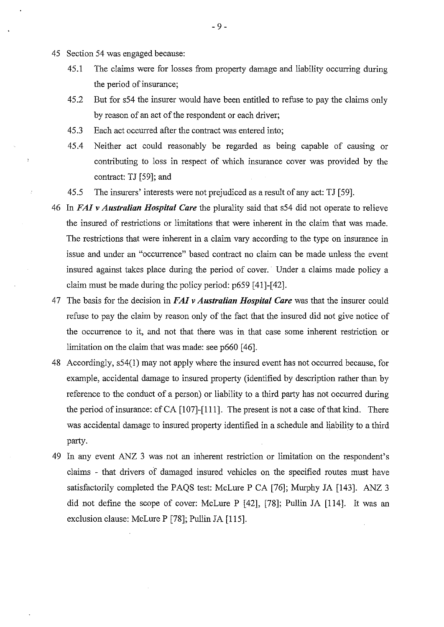- 45 Section 54 was engaged because:
	- 45.1 The claims were for losses from property damage and liability occurring during the period of insurance;
	- 45.2 But for s54 the insurer would have been entitled to refuse to pay the claims only by reason of an act of the respondent or each driver;
	- 45.3 Each act occurred after the contract was entered into;
	- 45.4 Neither act could reasonably be regarded as being capable of causing or contributing to loss in respect of which insurance cover was provided by the contract: TJ [59]; and
	- 45.5 The insurers' interests were not prejudiced as a result of any act: TJ [59].
- 46 In *FA/ v Australian Hospital Care* the plurality said that s54 did not operate to relieve the insured of restrictions or limitations that were inherent in the claim that was made. The restrictions that were inherent in a claim vary according to the type on insurance in issue and under an "occurrence" based contract no claim can be made unless the event insured against takes place during the period of cover. Under a claims made policy a claim must be made during the policy period: p659 [41]-[42].
- 47 The basis for the decision in *FA/ v Australian Hospital Care* was that the insurer could refuse to pay the claim by reason only of the fact that the insured did not give notice of the occurrence to it, and not that there was in that case some inherent restriction or limitation on the claim that was made: see p660 [46].
- 48 Accordingly, s54(1) may not apply where the insured event has not occurred because, for example, accidental damage to insured property (identified by description rather than by reference to the conduct of a person) or liability to a third party has not occurred during the period of insurance: cf CA  $[107]$ - $[111]$ . The present is not a case of that kind. There was accidental damage to insured property identified in a schedule and liability to a third party.
- 49 In any event ANZ 3 was not an inherent restriction or limitation on the respondent's claims - that drivers of damaged insured vehicles on the specified routes must have satisfactorily completed the PAQS test: McLure P CA [76]; Murphy JA [143]. ANZ 3 did not define the scope of cover: McLure P [42], [78]; Pullin JA [114]. It was an exclusion clause: McLure P [78]; Pullin JA [115].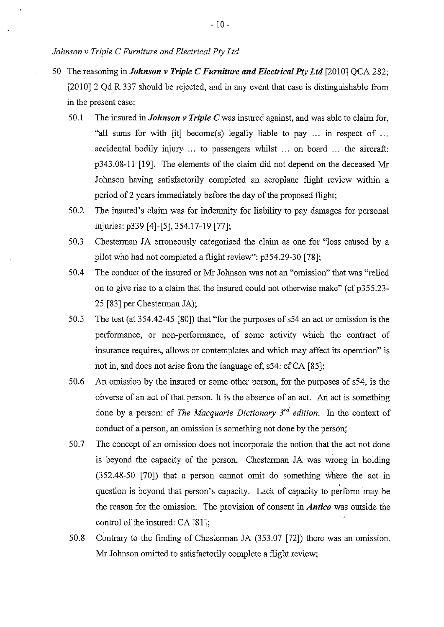- 50 The reasoning in *Johnson v Triple C Furniture and Electrical Pty Ltd* [2010] QCA 282; [2010] 2 Qd R 337 should be rejected, and in any event that case is distinguishable from in the present case:
	- 50.1 The insured in *Johnson v Triple C* was insured against, and was able to claim for, "all sums for with [it] become(s) legally liable to pay ... in respect of ... accidental bodily injury ... to passengers whilst ... on board ... the aircraft: p343.08-11 [19]. The elements of the claim did not depend on the deceased Mr Johnson having satisfactorily completed an aeroplane flight review within a period of2 years immediately before the day of the proposed flight;
	- 50.2 The insured's claim was for indemnity for liability to pay damages for personal injuries: p339 [4]-[5], 354.17-19 [77];
	- 50.3 Chesterman JA erroneously categorised the claim as one for "loss caused by a pilot who had not completed a flight review": p354.29-30 [78];
	- 50.4 The conduct of the insured or Mr Johnson was not an "omission" that was "relied on to give rise to a claim that the insured could not otherwise make" (cf p355.23-25 [83] per Chesterman JA);
	- 50.5 The test (at 354.42-45 [80]) that "for the purposes of s54 an act or omission is the performance, or non-performance, of some activity which the contract of insurance requires, allows or contemplates and which may affect its operation" is not in, and does not arise from the language of, s54: cf CA [85];
	- 50.6 An omission by the insured or some other person, for the purposes of s54, is the obverse of an act of that person. It is the absence of an act. An act is something done by a person: cf *The Macquarie Dictionary* 3rd *edition.* In the context of conduct of a person, an omission is something not done by the person;
	- 50.7 The concept of an omission does not incorporate the notion that the act not done is beyond the capacity of the person. Chesterman JA was wrong in holding (352.48-50 [70]) that a person cannot omit do something where the act in question is beyond that person's capacity. Lack of capacity to perform may be the reason for the omission. The provision of consent in *Antico* was outside the control of the insured:  $CA [81]$ ;
	- 50.8 Contrary to the finding of Chesterman JA (353.07 [72]) there was an omission. Mr Johnson omitted to satisfactorily complete a flight review;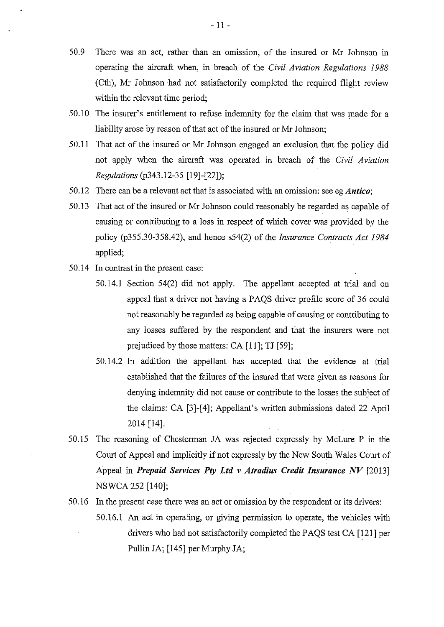- 50.9 There was an act, rather than an omission, of the insured or Mr Johnson in operating the aircraft when, in breach of the *Civil Aviation Regulations 1988*  (Cth), Mr Johnson had not satisfactorily completed the required flight review within the relevant time period;
- 50.10 The insurer's entitlement to refuse indemuity for the claim that was made for a liability arose by reason of that act of the insured or Mr Johnson;
- 50.11 That act of the insured or Mr Johnson engaged an exclusion that the policy did not apply when the aircraft was operated in breach of the *Civil Aviation Regulations* (p343.12-35 [19]-[22]);
- 50.12 There can be a relevant act that is associated with an omission: see eg *Antico*;
- 50.13 That act of the insured or Mr Johnson could reasonably be regarded as capable of causing or contributing to a loss in respect of which cover was provided by the policy (p355.30-358.42), and hence s54(2) of the *insurance Contracts Act 1984*  applied;
- 50.14 In contrast in the present case:
	- 50.14.1 Section 54(2) did not apply. The appellant accepted at trial and on appeal that a driver not having a PAQS driver profile score of 36 could not reasonably be regarded as being capable of causing or contributing to any losses suffered by the respondent and that the insurers were not prejudiced by those matters: CA [11]; TJ [59];
	- 50.14.2 In addition the appellant has accepted that the evidence at trial established that the failures of the insured that were given as reasons for denying indemuity did not cause or contribute to the losses the subject of the claims: CA [3]-[4]; Appellant's written submissions dated 22 April 2014 [14].
- 50.15 The reasoning of Chesterman JA was rejected expressly by McLure P in the Court of Appeal and implicitly if not expressly by the New South Wales Court of Appeal in *Prepaid Services Pty Ltd v Atradius Credit Insurance NV* [2013] NSWCA252 [140];
- 50.16 In the present case there was an act or omission by the respondent or its drivers:
	- 50.16.1 An act in operating, or giving permission to operate, the vehicles with drivers who had not satisfactorily completed the PAQS test CA [121] per Pullin JA; [145] per Murphy JA;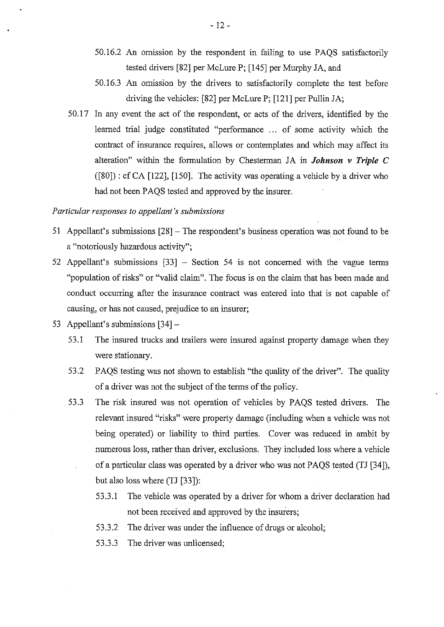- 50.16.2 An omission by the respondent in failing to use PAQS satisfactorily tested drivers [82] per McLure P; [145] per Murphy JA, and
- 50.16.3 An omission by the drivers to satisfactorily complete the test before driving the vehicles: [82] per McLure P; [121] per Pullin JA;
- 50.17 In any event the act of the respondent, or acts of the drivers, identified by the learned trial judge constituted "performance ... of some activity which the contract of insurance requires, allows or contemplates and which may affect its alteration" within the formulation by Chesterman JA in *Johnson v Triple C*  ([80]) : cf CA [122], [150]. The activity was operating a vehicle by a driver who had not been PAQS tested and approved by the insurer.

## *Particular responses to appellant's submissions*

- 51 Appellant's submissions [28] The respondent's business operation was not found to be a "notoriously hazardous activity";
- 52 Appellant's submissions [33] Section 54 is not concerned with the vague terms "population of risks" or "valid claim". The focus is on the claim that has been made and conduct occurring after the insurance contract was entered into that is not capable of causing, or has not caused, prejudice to an insurer;
- 53 Appellant's submissions [34]-
	- 53.1 The insured trucks and trailers were insured against property damage when they were stationary.
	- 53.2 PAQS testing was not shown to establish "the quality of the driver". The quality of a driver was not the subject of the terms of the policy.
	- 53.3 The risk insured was not operation of vehicles by PAQS tested drivers. The relevant insured "risks" were property damage (including when a vehicle was not being operated) or liability to third parties. Cover was reduced in ambit by numerous loss, rather than driver, exclusions. They included loss where a vehicle of a particular class was operated by a driver who was not PAQS tested (TJ [34]), but also loss where (TJ [33]):
		- 53.3.1 The vehicle was operated by a driver for whom a driver declaration had not been received and approved by the insurers;
		- 53.3.2 The driver was under the influence of drugs or alcohol;
		- 53.3.3 The driver was unlicensed;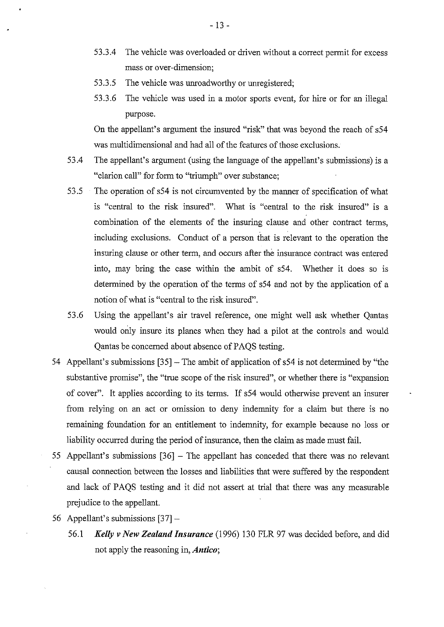- 53.3.4 The vehicle was overloaded or driven without a correct permit for excess mass or over-dimension;
- 53.3.5 The vehicle was unroadworthy or unregistered;
- 53.3.6 The vehicle was used in a motor sports event, for hire or for an illegal purpose.

On the appellant's argument the insured "risk" that was beyond the reach of s54 was multidimensional and had all of the features of those exclusions.

- 53.4 The appellant's argument (using the language of the appellant's submissions) is a "clarion call" for form to "triumph" over substance;
- 53.5 The operation of s54 is not circumvented by the manner of specification of what is "central to the risk insured". What is "central to the risk insured" is a combination of the elements of the insuring clause and other contract terms, including exclusions. Conduct of a person that is relevant to the operation the insuring clause or other term, and occurs after the insurance contract was entered into, may bring the case within the ambit of s54. Whether it does so is determined by the operation of the terms of s54 and not by the application of a notion of what is "central to the risk insured".
- 53.6 Using the appellant's air travel reference, one might well ask whether Qantas would only insure its planes when they had a pilot at the controls and would Qantas be concerned about absence of PAQS testing.
- 54 Appellant's submissions [35] The ambit of application of s54 is not determined by "the substantive promise", the "true scope of the risk insured", or whether there is "expansion of cover". It applies according to its terms. If s54 would otherwise prevent an insurer from relying on an act or omission to deny indenmity for a claim but there is no remaining foundation for an entitlement to indenmity, for example because no loss or liability occurred during the period of insurance, then the claim as made must fail.
- 55 Appellant's submissions [36] The appellant has conceded that there was no relevant causal connection between the losses and liabilities that were suffered by the respondent and lack of PAQS testing and it did not assert at trial that there was any measurable prejudice to the appellant.
- 56 Appellant's submissions [37]-
	- 56.1 *Kelly v New Zealand Insurance* (1996) 130 FLR 97 was decided before, and did not apply the reasoning in, *Antico;*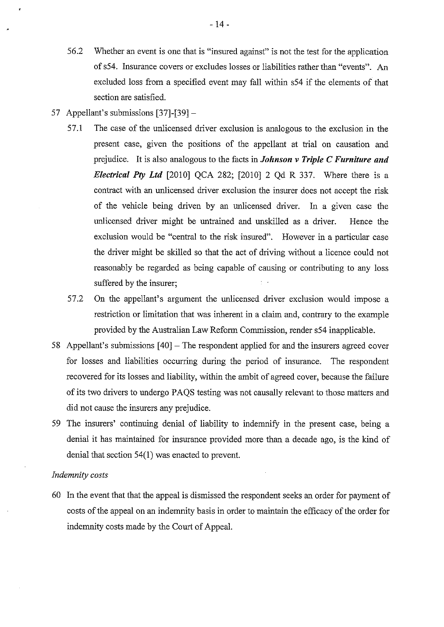- 56.2 Whether an event is one that is "insured against" is not the test for the application of s54. Insurance covers or excludes losses or liabilities rather than "events". An excluded loss from a specified event may fall within s54 if the elements of that section are satisfied.
- 57 Appellant's submissions [37]-[39]-
	- 57.1 The case of the unlicensed driver exclusion is analogous to the exclusion in the present case, given the positions of the appellant at trial on causation and prejudice. It is also analogous to the facts in *Johnson v Triple C Furniture and Electrical Pty Ltd* [2010] QCA 282; [2010] 2 Qd R 337. Where there is a contract with an unlicensed driver exclusion the insurer does not accept the risk of the vehicle being driven by an unlicensed driver. In a given case the unlicensed driver might be untrained and unskilled as a driver. Hence the exclusion would be "central to the risk insured". However in a particular case the driver might be skilled so that the act of driving without a licence could not reasonably be regarded as being capable of causing or contributing to any loss suffered by the insurer;
	- 57.2 On the appellant's argument the unlicensed driver exclusion would impose a restriction or limitation that was inherent in a claim and, contrary to the example provided by the Australian Law Reform Commission, render s54 inapplicable.
- 58 Appellant's submissions [40]- The respondent applied for and the insurers agreed cover for losses and liabilities occurring during the period of insurance. The respondent recovered for its losses and liability, within the ambit of agreed cover, because the failure of its two drivers to undergo PAQS testing was not causally relevant to those matters and did not cause the insurers any prejudice.
- 59 The insurers' continuing denial of liability to indemnify in the present case, being a denial it has maintained for insurance provided more than a decade ago, is the kind of denial that section 54(1) was enacted to prevent.

#### *Indemnity costs*

60 In the event that that the appeal is dismissed the respondent seeks an order for payment of costs of the appeal on an indemnity basis in order to maintain the efficacy of the order for indemnity costs made by the Court of Appeal.